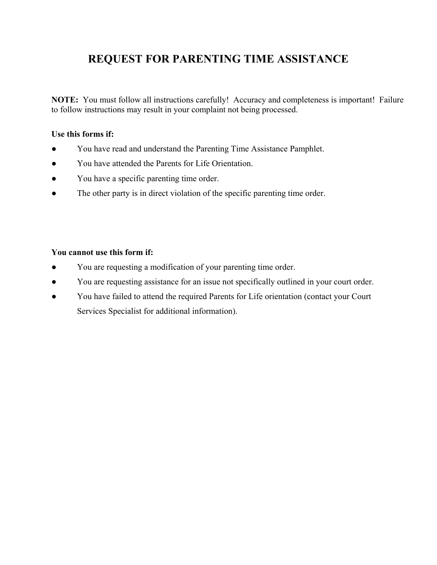## **REQUEST FOR PARENTING TIME ASSISTANCE**

**NOTE:** You must follow all instructions carefully! Accuracy and completeness is important! Failure to follow instructions may result in your complaint not being processed.

## **Use this forms if:**

- **●** You have read and understand the Parenting Time Assistance Pamphlet.
- You have attended the Parents for Life Orientation.
- You have a specific parenting time order.
- The other party is in direct violation of the specific parenting time order.

## **You cannot use this form if:**

- **●** You are requesting a modification of your parenting time order.
- You are requesting assistance for an issue not specifically outlined in your court order.
- You have failed to attend the required Parents for Life orientation (contact your Court Services Specialist for additional information).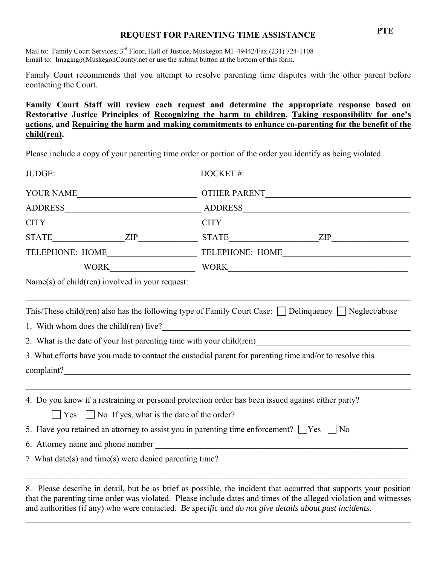## **PTE REQUEST FOR PARENTING TIME ASSISTANCE**

Mail to: Family Court Services; 3<sup>rd</sup> Floor, Hall of Justice, Muskegon MI 49442/Fax (231) 724-1108 Email to: Imaging@MuskegonCounty.net or use the submit button at the bottom of this form.

Family Court recommends that you attempt to resolve parenting time disputes with the other parent before contacting the Court.

**Family Court Staff will review each request and determine the appropriate response based on Restorative Justice Principles of Recognizing the harm to children, Taking responsibility for one's actions, and Repairing the harm and making commitments to enhance co-parenting for the benefit of the child(ren).** 

Please include a copy of your parenting time order or portion of the order you identify as being violated.

| JUDGE: |  |                                                                                                    | $DOCKET$ #:                                                                                                                                                                                                                                                                                                                                      |  |  |
|--------|--|----------------------------------------------------------------------------------------------------|--------------------------------------------------------------------------------------------------------------------------------------------------------------------------------------------------------------------------------------------------------------------------------------------------------------------------------------------------|--|--|
|        |  |                                                                                                    |                                                                                                                                                                                                                                                                                                                                                  |  |  |
|        |  |                                                                                                    |                                                                                                                                                                                                                                                                                                                                                  |  |  |
|        |  |                                                                                                    |                                                                                                                                                                                                                                                                                                                                                  |  |  |
|        |  |                                                                                                    | $STATE$ ${STATE}$ ${ZIP}$ ${STATE}$ ${ZIP}$ ${S}$                                                                                                                                                                                                                                                                                                |  |  |
|        |  |                                                                                                    |                                                                                                                                                                                                                                                                                                                                                  |  |  |
|        |  |                                                                                                    |                                                                                                                                                                                                                                                                                                                                                  |  |  |
|        |  |                                                                                                    |                                                                                                                                                                                                                                                                                                                                                  |  |  |
|        |  |                                                                                                    |                                                                                                                                                                                                                                                                                                                                                  |  |  |
|        |  |                                                                                                    | This/These child(ren) also has the following type of Family Court Case: $\Box$ Delinquency $\Box$ Neglect/abuse                                                                                                                                                                                                                                  |  |  |
|        |  | 1. With whom does the child(ren) live?                                                             |                                                                                                                                                                                                                                                                                                                                                  |  |  |
|        |  |                                                                                                    | 2. What is the date of your last parenting time with your child (ren)                                                                                                                                                                                                                                                                            |  |  |
|        |  |                                                                                                    | 3. What efforts have you made to contact the custodial parent for parenting time and/or to resolve this                                                                                                                                                                                                                                          |  |  |
|        |  | complaint?                                                                                         |                                                                                                                                                                                                                                                                                                                                                  |  |  |
|        |  |                                                                                                    |                                                                                                                                                                                                                                                                                                                                                  |  |  |
|        |  |                                                                                                    | 4. Do you know if a restraining or personal protection order has been issued against either party?                                                                                                                                                                                                                                               |  |  |
|        |  |                                                                                                    | $\Box$ Yes $\Box$ No If yes, what is the date of the order?                                                                                                                                                                                                                                                                                      |  |  |
|        |  | 5. Have you retained an attorney to assist you in parenting time enforcement? $\Box$ Yes $\Box$ No |                                                                                                                                                                                                                                                                                                                                                  |  |  |
|        |  |                                                                                                    |                                                                                                                                                                                                                                                                                                                                                  |  |  |
|        |  |                                                                                                    |                                                                                                                                                                                                                                                                                                                                                  |  |  |
|        |  |                                                                                                    | 8. Please describe in detail, but be as brief as possible, the incident that occurred that supports your position<br>that the parenting time order was violated. Please include dates and times of the alleged violation and witnesses<br>and authorities (if any) who were contacted. Be specific and do not give details about past incidents. |  |  |

 $\mathcal{L}_\mathcal{L} = \mathcal{L}_\mathcal{L} = \mathcal{L}_\mathcal{L} = \mathcal{L}_\mathcal{L} = \mathcal{L}_\mathcal{L} = \mathcal{L}_\mathcal{L} = \mathcal{L}_\mathcal{L} = \mathcal{L}_\mathcal{L} = \mathcal{L}_\mathcal{L} = \mathcal{L}_\mathcal{L} = \mathcal{L}_\mathcal{L} = \mathcal{L}_\mathcal{L} = \mathcal{L}_\mathcal{L} = \mathcal{L}_\mathcal{L} = \mathcal{L}_\mathcal{L} = \mathcal{L}_\mathcal{L} = \mathcal{L}_\mathcal{L}$ 

 $\mathcal{L}_\mathcal{L} = \mathcal{L}_\mathcal{L} = \mathcal{L}_\mathcal{L} = \mathcal{L}_\mathcal{L} = \mathcal{L}_\mathcal{L} = \mathcal{L}_\mathcal{L} = \mathcal{L}_\mathcal{L} = \mathcal{L}_\mathcal{L} = \mathcal{L}_\mathcal{L} = \mathcal{L}_\mathcal{L} = \mathcal{L}_\mathcal{L} = \mathcal{L}_\mathcal{L} = \mathcal{L}_\mathcal{L} = \mathcal{L}_\mathcal{L} = \mathcal{L}_\mathcal{L} = \mathcal{L}_\mathcal{L} = \mathcal{L}_\mathcal{L}$